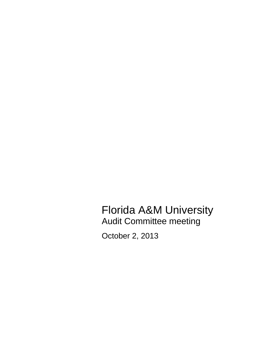Florida A&M University Audit Committee meeting

October 2, 2013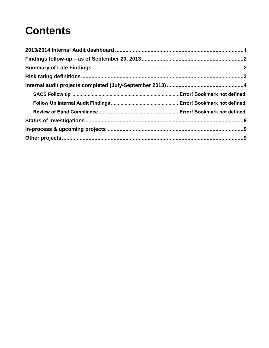# **Contents**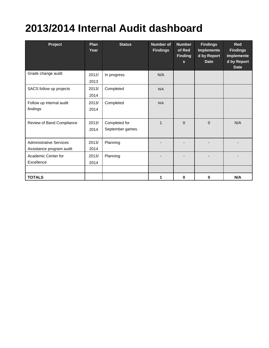# <span id="page-2-0"></span>**2013/2014 Internal Audit dashboard**

| Project                                                    | <b>Plan</b><br>Year | <b>Status</b>                     | <b>Number of</b><br><b>Findings</b> | <b>Number</b><br>of Red<br><b>Finding</b><br>$\mathbf{s}$ | <b>Findings</b><br><b>Implemente</b><br>d by Report<br><b>Date</b> | <b>Red</b><br><b>Findings</b><br><b>Implemente</b><br>d by Report<br><b>Date</b> |
|------------------------------------------------------------|---------------------|-----------------------------------|-------------------------------------|-----------------------------------------------------------|--------------------------------------------------------------------|----------------------------------------------------------------------------------|
| Grade change audit                                         | 2012/<br>2013       | In progress                       | N/A                                 |                                                           |                                                                    |                                                                                  |
| SACS follow up projects                                    | 2013/<br>2014       | Completed                         | N/A                                 |                                                           |                                                                    |                                                                                  |
| Follow up internal audit<br>findings                       | 2013/<br>2014       | Completed                         | N/A                                 |                                                           |                                                                    |                                                                                  |
| Review of Band Compliance                                  | 2013/<br>2014       | Completed for<br>September games. | $\mathbf{1}$                        | $\mathbf 0$                                               | $\mathbf{0}$                                                       | N/A                                                                              |
| <b>Administrative Services</b><br>Assistance program audit | 2013/<br>2014       | Planning                          |                                     |                                                           |                                                                    |                                                                                  |
| Academic Center for<br>Excellence                          | 2013/<br>2014       | Planning                          |                                     |                                                           |                                                                    |                                                                                  |
| <b>TOTALS</b>                                              |                     |                                   | 1                                   | 0                                                         | 0                                                                  | N/A                                                                              |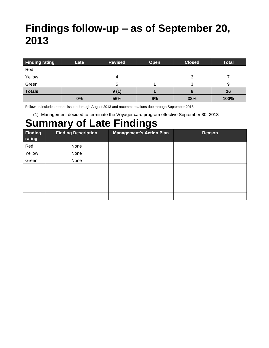## <span id="page-3-0"></span>**Findings follow-up – as of September 20, 2013**

| <b>Finding rating</b> | Late | <b>Revised</b> | Open | <b>Closed</b> | <b>Total</b> |
|-----------------------|------|----------------|------|---------------|--------------|
| Red                   |      |                |      |               |              |
| Yellow                |      |                |      |               |              |
| Green                 |      | ກ              |      |               |              |
| <b>Totals</b>         |      | 9(1)           |      |               | 16           |
|                       | 0%   | 56%            | 6%   | 38%           | 100%         |

Follow-up includes reports issued through August 2013 and recommendations due through September 2013.

(1) Management decided to terminate the Voyager card program effective September 30, 2013

### <span id="page-3-1"></span>**Summary of Late Findings**

| Finding<br>rating | <b>Finding Description</b> | <b>Management's Action Plan</b> | Reason |
|-------------------|----------------------------|---------------------------------|--------|
| Red               | None                       |                                 |        |
| Yellow            | None                       |                                 |        |
| Green             | None                       |                                 |        |
|                   |                            |                                 |        |
|                   |                            |                                 |        |
|                   |                            |                                 |        |
|                   |                            |                                 |        |
|                   |                            |                                 |        |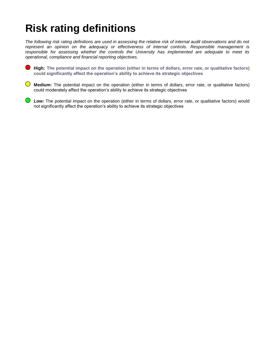# <span id="page-4-0"></span>**Risk rating definitions**

*The following risk rating definitions are used in assessing the relative risk of internal audit observations and do not represent an opinion on the adequacy or effectiveness of internal controls. Responsible management is responsible for assessing whether the controls the University has implemented are adequate to meet its operational, compliance and financial reporting objectives.*

**High: The potential impact on the operation (either in terms of dollars, error rate, or qualitative factors) could significantly affect the operation's ability to achieve its strategic objectives**

**Medium:** The potential impact on the operation (either in terms of dollars, error rate, or qualitative factors) could moderately affect the operation's ability to achieve its strategic objectives

**Low:** The potential impact on the operation (either in terms of dollars, error rate, or qualitative factors) would not significantly affect the operation's ability to achieve its strategic objectives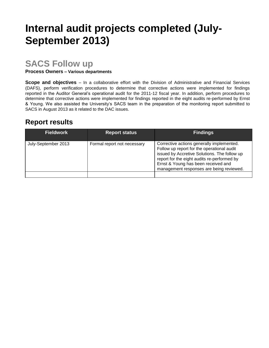# <span id="page-5-0"></span>**Internal audit projects completed (July-September 2013)**

### **SACS Follow up**

**Process Owners – Various departments**

**Scope and objectives** – In a collaborative effort with the Division of Administrative and Financial Services (DAFS), perform verification procedures to determine that corrective actions were implemented for findings reported in the Auditor General's operational audit for the 2011-12 fiscal year. In addition, perform procedures to determine that corrective actions were implemented for findings reported in the eight audits re-performed by Ernst & Young. We also assisted the University's SACS team in the preparation of the monitoring report submitted to SACS in August 2013 as it related to the DAC issues.

### **Report results**

| <b>Fieldwork</b>    | <b>Report status</b>        | <b>Findings</b>                                                                                                                                                                                                                                                           |
|---------------------|-----------------------------|---------------------------------------------------------------------------------------------------------------------------------------------------------------------------------------------------------------------------------------------------------------------------|
| July-September 2013 | Formal report not necessary | Corrective actions generally implemented.<br>Follow up report for the operational audit<br>issued by Accretive Solutions. The follow up<br>report for the eight audits re-performed by<br>Ernst & Young has been received and<br>management responses are being reviewed. |
|                     |                             |                                                                                                                                                                                                                                                                           |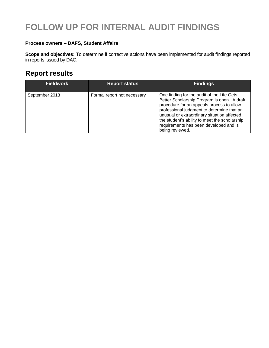### **FOLLOW UP FOR INTERNAL AUDIT FINDINGS**

#### **Process owners – DAFS, Student Affairs**

**Scope and objectives:** To determine if corrective actions have been implemented for audit findings reported in reports issued by DAC.

### **Report results**

| <b>Fieldwork</b> | <b>Report status</b>        | <b>Findings</b>                                                                                                                                                                                                                                                                                                                                   |
|------------------|-----------------------------|---------------------------------------------------------------------------------------------------------------------------------------------------------------------------------------------------------------------------------------------------------------------------------------------------------------------------------------------------|
| September 2013   | Formal report not necessary | One finding for the audit of the Life Gets<br>Better Scholarship Program is open. A draft<br>procedure for an appeals process to allow<br>professional judgment to determine that an<br>unusual or extraordinary situation affected<br>the student's ability to meet the scholarship<br>requirements has been developed and is<br>being reviewed. |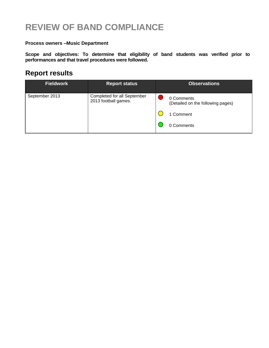### **REVIEW OF BAND COMPLIANCE**

#### **Process owners –Music Department**

**Scope and objectives: To determine that eligibility of band students was verified prior to performances and that travel procedures were followed.**

### **Report results**

| <b>Fieldwork</b> | <b>Report status</b>                                | <b>Observations</b>                             |
|------------------|-----------------------------------------------------|-------------------------------------------------|
| September 2013   | Completed for all September<br>2013 football games. | 0 Comments<br>(Detailed on the following pages) |
|                  |                                                     | 1 Comment                                       |
|                  |                                                     | 0 Comments                                      |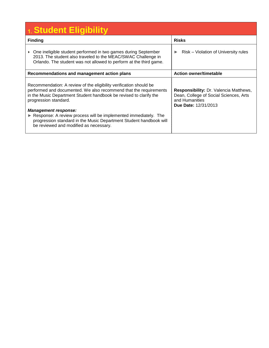| 1. Student Eligibility                                                                                                                                                                                                                                                                                                                                                                                                                                   |                                                                                                                                   |
|----------------------------------------------------------------------------------------------------------------------------------------------------------------------------------------------------------------------------------------------------------------------------------------------------------------------------------------------------------------------------------------------------------------------------------------------------------|-----------------------------------------------------------------------------------------------------------------------------------|
| <b>Finding</b>                                                                                                                                                                                                                                                                                                                                                                                                                                           | <b>Risks</b>                                                                                                                      |
| One ineligible student performed in two games during September<br>$\blacktriangleright$<br>2013. The student also traveled to the MEAC/SWAC Challenge in<br>Orlando. The student was not allowed to perform at the third game.                                                                                                                                                                                                                           | Risk – Violation of University rules<br>$\blacktriangleright$                                                                     |
| Recommendations and management action plans                                                                                                                                                                                                                                                                                                                                                                                                              | <b>Action owner/timetable</b>                                                                                                     |
| Recommendation: A review of the eligibility verification should be<br>performed and documented. We also recommend that the requirements<br>in the Music Department Student handbook be revised to clarify the<br>progression standard.<br><b>Management response:</b><br>Response: A review process will be implemented immediately. The<br>progression standard in the Music Department Student handbook will<br>be reviewed and modified as necessary. | Responsibility: Dr. Valencia Matthews,<br>Dean, College of Social Sciences, Arts<br>and Humanities<br><b>Due Date: 12/31/2013</b> |